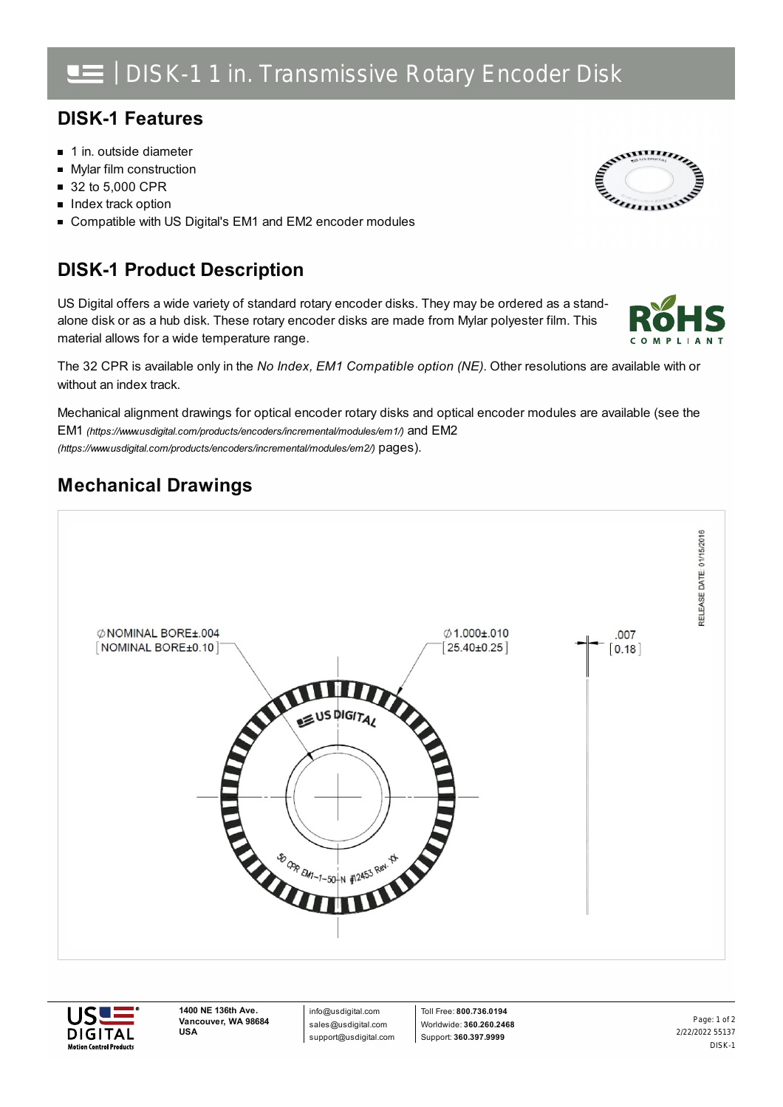# | DISK-1 1 in. Transmissive Rotary Encoder Disk

#### **DISK-1 Features**

- 1 in. outside diameter
- **Mylar film construction**
- 32 to 5,000 CPR
- **Index track option**
- Compatible with US Digital's EM1 and EM2 encoder modules

## **DISK-1 Product Description**

US Digital offers a wide variety of standard rotary encoder disks. They may be ordered as a standalone disk or as a hub disk. These rotary encoder disks are made from Mylar polyester film. This material allows for a wide temperature range.



Mechanical alignment drawings for optical encoder rotary disks and optical encoder modules are available (see the EM1 *[\(https://www.usdigital.com/products/encoders/incremental/modules/em1/\)](https://www.usdigital.com/products/encoders/incremental/modules/em1/)* and EM2 *(https://www.usdigital.com/products/encoders/incremental/modules/em2/)* pages).

### **Mechanical Drawings**





**1400 NE 136th Ave. Vancouver, WA 98684 USA**

info@usdigital.com sales@usdigital.com support@usdigital.com

Toll Free: **800.736.0194** Worldwide: **360.260.2468** Support: **360.397.9999**

2/22/2022 55137 DISK-1 Page: 1 of 2